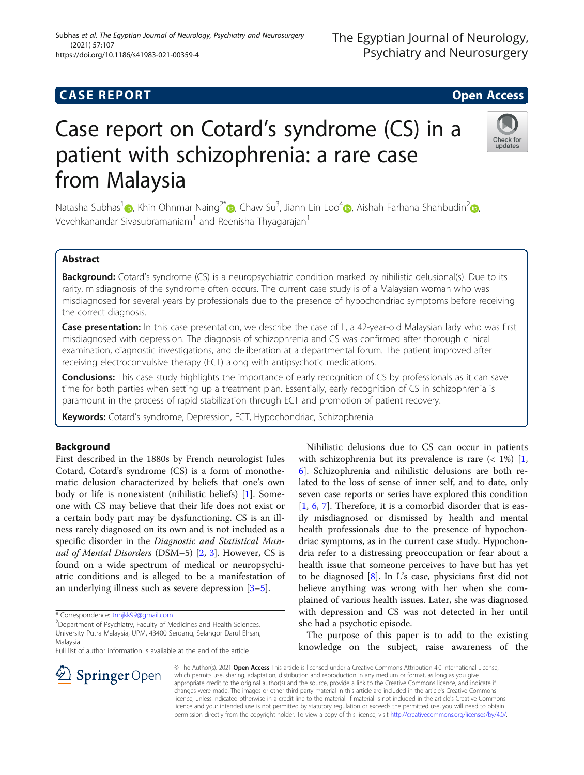## **CASE REPORT CASE REPORT CASE REPORT**

https://doi.org/10.1186/s41983-021-00359-4

(2021) 57:107

# Case report on Cotard's syndrome (CS) in a patient with schizophrenia: a rare case from Malaysia

Natasha Subhas<sup>1</sup> (b[,](https://orcid.org/0000-0001-5620-924X) Khin Ohnmar Naing<sup>2\*</sup> (b, Chaw Su<sup>3</sup>, Jiann Lin Loo<sup>4</sup> (b, Aishah Farhana Shahbudin<sup>2</sup> (b, Vevehkanandar Sivasubramaniam<sup>1</sup> and Reenisha Thyagarajan<sup>1</sup>

## Abstract

Background: Cotard's syndrome (CS) is a neuropsychiatric condition marked by nihilistic delusional(s). Due to its rarity, misdiagnosis of the syndrome often occurs. The current case study is of a Malaysian woman who was misdiagnosed for several years by professionals due to the presence of hypochondriac symptoms before receiving the correct diagnosis.

Case presentation: In this case presentation, we describe the case of L, a 42-year-old Malaysian lady who was first misdiagnosed with depression. The diagnosis of schizophrenia and CS was confirmed after thorough clinical examination, diagnostic investigations, and deliberation at a departmental forum. The patient improved after receiving electroconvulsive therapy (ECT) along with antipsychotic medications.

**Conclusions:** This case study highlights the importance of early recognition of CS by professionals as it can save time for both parties when setting up a treatment plan. Essentially, early recognition of CS in schizophrenia is paramount in the process of rapid stabilization through ECT and promotion of patient recovery.

Keywords: Cotard's syndrome, Depression, ECT, Hypochondriac, Schizophrenia

## Background

First described in the 1880s by French neurologist Jules Cotard, Cotard's syndrome (CS) is a form of monothematic delusion characterized by beliefs that one's own body or life is nonexistent (nihilistic beliefs) [[1\]](#page-4-0). Someone with CS may believe that their life does not exist or a certain body part may be dysfunctioning. CS is an illness rarely diagnosed on its own and is not included as a specific disorder in the Diagnostic and Statistical Manual of Mental Disorders (DSM-5)  $[2, 3]$  $[2, 3]$  $[2, 3]$ . However, CS is found on a wide spectrum of medical or neuropsychiatric conditions and is alleged to be a manifestation of an underlying illness such as severe depression [[3](#page-4-0)–[5](#page-4-0)].

\* Correspondence: [tnnjkk99@gmail.com](mailto:tnnjkk99@gmail.com) <sup>2</sup>

Department of Psychiatry, Faculty of Medicines and Health Sciences, University Putra Malaysia, UPM, 43400 Serdang, Selangor Darul Ehsan, Malaysia

Full list of author information is available at the end of the article

Nihilistic delusions due to CS can occur in patients with schizophrenia but its prevalence is rare  $($   $<$  1% $)$  [\[1](#page-4-0), [6\]](#page-4-0). Schizophrenia and nihilistic delusions are both related to the loss of sense of inner self, and to date, only seven case reports or series have explored this condition [[1,](#page-4-0) [6](#page-4-0), [7](#page-5-0)]. Therefore, it is a comorbid disorder that is easily misdiagnosed or dismissed by health and mental health professionals due to the presence of hypochondriac symptoms, as in the current case study. Hypochondria refer to a distressing preoccupation or fear about a health issue that someone perceives to have but has yet to be diagnosed [[8\]](#page-5-0). In L's case, physicians first did not believe anything was wrong with her when she complained of various health issues. Later, she was diagnosed with depression and CS was not detected in her until she had a psychotic episode.

The purpose of this paper is to add to the existing knowledge on the subject, raise awareness of the

© The Author(s). 2021 Open Access This article is licensed under a Creative Commons Attribution 4.0 International License, which permits use, sharing, adaptation, distribution and reproduction in any medium or format, as long as you give appropriate credit to the original author(s) and the source, provide a link to the Creative Commons licence, and indicate if changes were made. The images or other third party material in this article are included in the article's Creative Commons licence, unless indicated otherwise in a credit line to the material. If material is not included in the article's Creative Commons licence and your intended use is not permitted by statutory regulation or exceeds the permitted use, you will need to obtain permission directly from the copyright holder. To view a copy of this licence, visit <http://creativecommons.org/licenses/by/4.0/>.





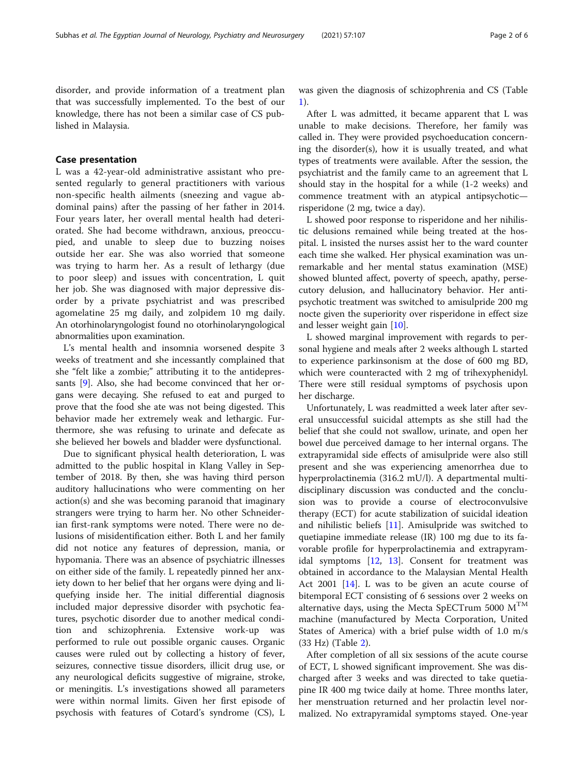disorder, and provide information of a treatment plan that was successfully implemented. To the best of our knowledge, there has not been a similar case of CS published in Malaysia.

## Case presentation

L was a 42-year-old administrative assistant who presented regularly to general practitioners with various non-specific health ailments (sneezing and vague abdominal pains) after the passing of her father in 2014. Four years later, her overall mental health had deteriorated. She had become withdrawn, anxious, preoccupied, and unable to sleep due to buzzing noises outside her ear. She was also worried that someone was trying to harm her. As a result of lethargy (due to poor sleep) and issues with concentration, L quit her job. She was diagnosed with major depressive disorder by a private psychiatrist and was prescribed agomelatine 25 mg daily, and zolpidem 10 mg daily. An otorhinolaryngologist found no otorhinolaryngological abnormalities upon examination.

L's mental health and insomnia worsened despite 3 weeks of treatment and she incessantly complained that she "felt like a zombie;" attributing it to the antidepressants [\[9](#page-5-0)]. Also, she had become convinced that her organs were decaying. She refused to eat and purged to prove that the food she ate was not being digested. This behavior made her extremely weak and lethargic. Furthermore, she was refusing to urinate and defecate as she believed her bowels and bladder were dysfunctional.

Due to significant physical health deterioration, L was admitted to the public hospital in Klang Valley in September of 2018. By then, she was having third person auditory hallucinations who were commenting on her action(s) and she was becoming paranoid that imaginary strangers were trying to harm her. No other Schneiderian first-rank symptoms were noted. There were no delusions of misidentification either. Both L and her family did not notice any features of depression, mania, or hypomania. There was an absence of psychiatric illnesses on either side of the family. L repeatedly pinned her anxiety down to her belief that her organs were dying and liquefying inside her. The initial differential diagnosis included major depressive disorder with psychotic features, psychotic disorder due to another medical condition and schizophrenia. Extensive work-up was performed to rule out possible organic causes. Organic causes were ruled out by collecting a history of fever, seizures, connective tissue disorders, illicit drug use, or any neurological deficits suggestive of migraine, stroke, or meningitis. L's investigations showed all parameters were within normal limits. Given her first episode of psychosis with features of Cotard's syndrome (CS), L was given the diagnosis of schizophrenia and CS (Table [1\)](#page-2-0).

After L was admitted, it became apparent that L was unable to make decisions. Therefore, her family was called in. They were provided psychoeducation concerning the disorder(s), how it is usually treated, and what types of treatments were available. After the session, the psychiatrist and the family came to an agreement that L should stay in the hospital for a while (1-2 weeks) and commence treatment with an atypical antipsychotic risperidone (2 mg, twice a day).

L showed poor response to risperidone and her nihilistic delusions remained while being treated at the hospital. L insisted the nurses assist her to the ward counter each time she walked. Her physical examination was unremarkable and her mental status examination (MSE) showed blunted affect, poverty of speech, apathy, persecutory delusion, and hallucinatory behavior. Her antipsychotic treatment was switched to amisulpride 200 mg nocte given the superiority over risperidone in effect size and lesser weight gain [\[10](#page-5-0)].

L showed marginal improvement with regards to personal hygiene and meals after 2 weeks although L started to experience parkinsonism at the dose of 600 mg BD, which were counteracted with 2 mg of trihexyphenidyl. There were still residual symptoms of psychosis upon her discharge.

Unfortunately, L was readmitted a week later after several unsuccessful suicidal attempts as she still had the belief that she could not swallow, urinate, and open her bowel due perceived damage to her internal organs. The extrapyramidal side effects of amisulpride were also still present and she was experiencing amenorrhea due to hyperprolactinemia (316.2 mU/l). A departmental multidisciplinary discussion was conducted and the conclusion was to provide a course of electroconvulsive therapy (ECT) for acute stabilization of suicidal ideation and nihilistic beliefs [[11](#page-5-0)]. Amisulpride was switched to quetiapine immediate release (IR) 100 mg due to its favorable profile for hyperprolactinemia and extrapyramidal symptoms [[12](#page-5-0), [13](#page-5-0)]. Consent for treatment was obtained in accordance to the Malaysian Mental Health Act 2001  $[14]$ . L was to be given an acute course of bitemporal ECT consisting of 6 sessions over 2 weeks on alternative days, using the Mecta SpECTrum 5000  $M^{TM}$ machine (manufactured by Mecta Corporation, United States of America) with a brief pulse width of 1.0 m/s (33 Hz) (Table [2\)](#page-3-0).

After completion of all six sessions of the acute course of ECT, L showed significant improvement. She was discharged after 3 weeks and was directed to take quetiapine IR 400 mg twice daily at home. Three months later, her menstruation returned and her prolactin level normalized. No extrapyramidal symptoms stayed. One-year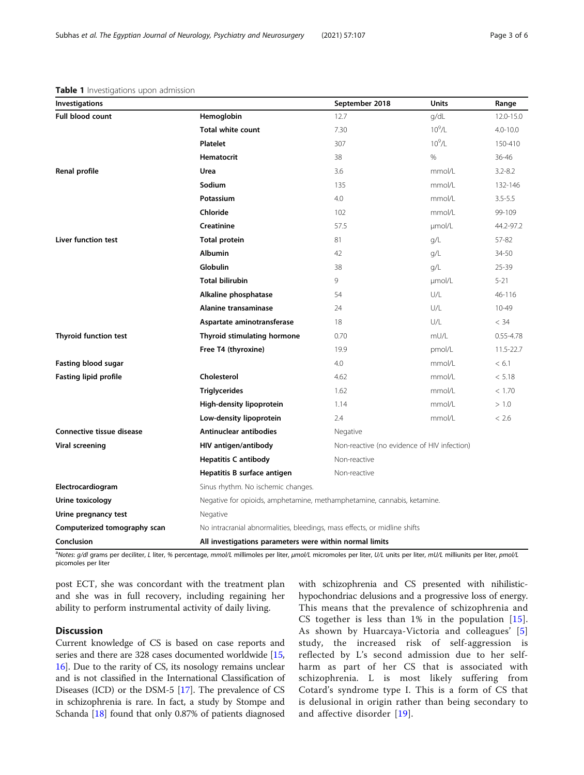<span id="page-2-0"></span>

| <b>Table 1</b> Investigations upon admission |  |
|----------------------------------------------|--|
|----------------------------------------------|--|

| <b>Investigations</b>        |                                                                           | September 2018 | <b>Units</b> | Range         |  |
|------------------------------|---------------------------------------------------------------------------|----------------|--------------|---------------|--|
| <b>Full blood count</b>      | Hemoglobin                                                                | 12.7           | g/dL         | 12.0-15.0     |  |
|                              | <b>Total white count</b>                                                  | 7.30           | $10^{9}$ /L  | 4.0-10.0      |  |
|                              | <b>Platelet</b>                                                           | 307            | $10^9$ /L    | 150-410       |  |
|                              | Hematocrit                                                                | 38             | %            | $36 - 46$     |  |
| Renal profile                | Urea                                                                      | 3.6            | mmol/L       | $3.2 - 8.2$   |  |
|                              | Sodium                                                                    | 135            | mmol/L       | 132-146       |  |
|                              | Potassium                                                                 | 4.0            | mmol/L       | $3.5 - 5.5$   |  |
|                              | Chloride                                                                  | 102            | mmol/L       | 99-109        |  |
|                              | Creatinine                                                                | 57.5           | umol/L       | 44.2-97.2     |  |
| Liver function test          | <b>Total protein</b>                                                      | 81             | q/L          | 57-82         |  |
|                              | <b>Albumin</b>                                                            | 42             | g/L          | 34-50         |  |
|                              | Globulin                                                                  | 38             | q/L          | $25 - 39$     |  |
|                              | <b>Total bilirubin</b>                                                    | 9              | umol/L       | $5 - 21$      |  |
|                              | Alkaline phosphatase                                                      | 54             | U/L          | $46 - 116$    |  |
|                              | Alanine transaminase                                                      | 24             | U/L          | $10 - 49$     |  |
|                              | Aspartate aminotransferase                                                | 18             | U/L          | < 34          |  |
| <b>Thyroid function test</b> | Thyroid stimulating hormone                                               | 0.70           | mU/L         | $0.55 - 4.78$ |  |
|                              | Free T4 (thyroxine)                                                       | 19.9           | pmol/L       | 11.5-22.7     |  |
| <b>Fasting blood sugar</b>   |                                                                           | 4.0            | mmol/L       | < 6.1         |  |
| <b>Fasting lipid profile</b> | Cholesterol                                                               | 4.62           | mmol/L       | < 5.18        |  |
|                              | <b>Triglycerides</b>                                                      | 1.62           | mmol/L       | < 1.70        |  |
|                              | High-density lipoprotein                                                  | 1.14           | mmol/L       | > 1.0         |  |
|                              | Low-density lipoprotein                                                   | 2.4            | mmol/L       | < 2.6         |  |
| Connective tissue disease    | Antinuclear antibodies                                                    | Negative       |              |               |  |
| <b>Viral screening</b>       | HIV antigen/antibody<br>Non-reactive (no evidence of HIV infection)       |                |              |               |  |
|                              | <b>Hepatitis C antibody</b><br>Non-reactive                               |                |              |               |  |
|                              | Hepatitis B surface antigen                                               | Non-reactive   |              |               |  |
| Electrocardiogram            | Sinus rhythm. No ischemic changes.                                        |                |              |               |  |
| Urine toxicology             | Negative for opioids, amphetamine, methamphetamine, cannabis, ketamine.   |                |              |               |  |
| Urine pregnancy test         | Negative                                                                  |                |              |               |  |
| Computerized tomography scan | No intracranial abnormalities, bleedings, mass effects, or midline shifts |                |              |               |  |
| Conclusion                   | All investigations parameters were within normal limits                   |                |              |               |  |

a<br>Notes: g/dl grams per deciliter, L liter, % percentage, mmol/L millimoles per liter, μmol/L micromoles per liter, U/L units per liter, mU/L milliunits per liter, pmol/L picomoles per liter

post ECT, she was concordant with the treatment plan and she was in full recovery, including regaining her ability to perform instrumental activity of daily living.

## Discussion

Current knowledge of CS is based on case reports and series and there are 328 cases documented worldwide [[15](#page-5-0), [16](#page-5-0)]. Due to the rarity of CS, its nosology remains unclear and is not classified in the International Classification of Diseases (ICD) or the DSM-5 [\[17\]](#page-5-0). The prevalence of CS in schizophrenia is rare. In fact, a study by Stompe and Schanda [\[18](#page-5-0)] found that only 0.87% of patients diagnosed

with schizophrenia and CS presented with nihilistichypochondriac delusions and a progressive loss of energy. This means that the prevalence of schizophrenia and CS together is less than 1% in the population [[15](#page-5-0)]. As shown by Huarcaya-Victoria and colleagues' [\[5](#page-4-0)] study, the increased risk of self-aggression is reflected by L's second admission due to her selfharm as part of her CS that is associated with schizophrenia. L is most likely suffering from Cotard's syndrome type I. This is a form of CS that is delusional in origin rather than being secondary to and affective disorder [[19](#page-5-0)].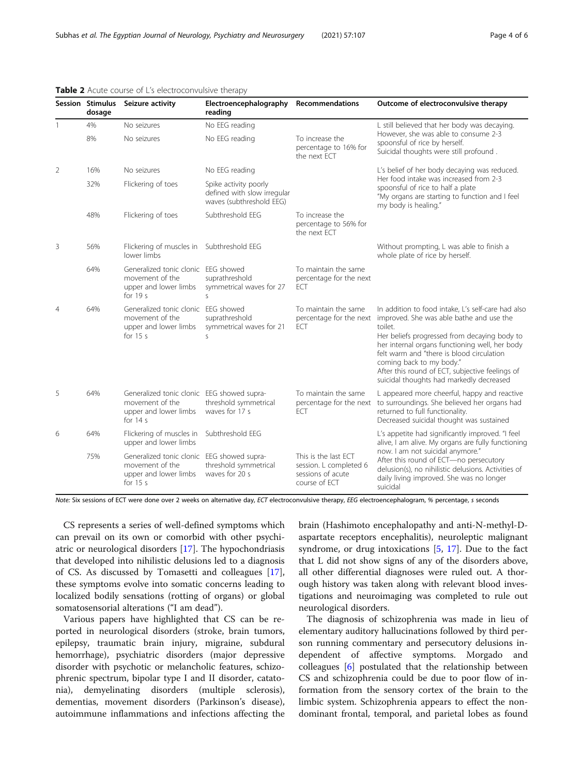|                | Session Stimulus<br>dosage | Seizure activity                                                                                     | Electroencephalography<br>reading                                                | <b>Recommendations</b>                                                               | Outcome of electroconvulsive therapy                                                                                                                                                                                                                                                                                                                                                |  |
|----------------|----------------------------|------------------------------------------------------------------------------------------------------|----------------------------------------------------------------------------------|--------------------------------------------------------------------------------------|-------------------------------------------------------------------------------------------------------------------------------------------------------------------------------------------------------------------------------------------------------------------------------------------------------------------------------------------------------------------------------------|--|
| 1              | 4%                         | No seizures                                                                                          | No EEG reading                                                                   |                                                                                      | L still believed that her body was decaying.                                                                                                                                                                                                                                                                                                                                        |  |
| 8%             |                            | No seizures                                                                                          | No EEG reading                                                                   | To increase the<br>percentage to 16% for<br>the next ECT                             | However, she was able to consume 2-3<br>spoonsful of rice by herself.<br>Suicidal thoughts were still profound.                                                                                                                                                                                                                                                                     |  |
| 2              | 16%                        | No seizures                                                                                          | No EEG reading                                                                   |                                                                                      | L's belief of her body decaying was reduced.                                                                                                                                                                                                                                                                                                                                        |  |
|                | 32%                        | Flickering of toes                                                                                   | Spike activity poorly<br>defined with slow irregular<br>waves (subthreshold EEG) |                                                                                      | Her food intake was increased from 2-3<br>spoonsful of rice to half a plate<br>"My organs are starting to function and I feel<br>my body is healing."                                                                                                                                                                                                                               |  |
|                | 48%                        | Flickering of toes                                                                                   | Subthreshold EEG                                                                 | To increase the<br>percentage to 56% for<br>the next ECT                             |                                                                                                                                                                                                                                                                                                                                                                                     |  |
| 3              | 56%                        | Flickering of muscles in Subthreshold EEG<br>lower limbs                                             |                                                                                  |                                                                                      | Without prompting, L was able to finish a<br>whole plate of rice by herself.                                                                                                                                                                                                                                                                                                        |  |
|                | 64%                        | Generalized tonic clonic EEG showed<br>movement of the<br>upper and lower limbs<br>for $19s$         | suprathreshold<br>symmetrical waves for 27<br>S.                                 | To maintain the same<br>percentage for the next<br>ECT                               |                                                                                                                                                                                                                                                                                                                                                                                     |  |
| $\overline{4}$ | 64%                        | Generalized tonic clonic EEG showed<br>movement of the<br>upper and lower limbs<br>for $15 s$        | suprathreshold<br>symmetrical waves for 21<br>$\mathsf{S}$                       | To maintain the same<br>percentage for the next<br>ECT                               | In addition to food intake, L's self-care had also<br>improved. She was able bathe and use the<br>toilet.<br>Her beliefs progressed from decaying body to<br>her internal organs functioning well, her body<br>felt warm and "there is blood circulation<br>coming back to my body."<br>After this round of ECT, subjective feelings of<br>suicidal thoughts had markedly decreased |  |
| 5              | 64%                        | Generalized tonic clonic EEG showed supra-<br>movement of the<br>upper and lower limbs<br>for $14 s$ | threshold symmetrical<br>waves for 17 s                                          | To maintain the same<br>percentage for the next<br>ECT                               | L appeared more cheerful, happy and reactive<br>to surroundings. She believed her organs had<br>returned to full functionality.<br>Decreased suicidal thought was sustained                                                                                                                                                                                                         |  |
| 6              | 64%                        | Flickering of muscles in Subthreshold EEG<br>upper and lower limbs                                   |                                                                                  |                                                                                      | L's appetite had significantly improved. "I feel<br>alive, I am alive. My organs are fully functioning                                                                                                                                                                                                                                                                              |  |
|                | 75%                        | Generalized tonic clonic EEG showed supra-<br>movement of the<br>upper and lower limbs<br>for $15 s$ | threshold symmetrical<br>waves for 20 s                                          | This is the last ECT<br>session. L completed 6<br>sessions of acute<br>course of ECT | now. I am not suicidal anymore."<br>After this round of ECT-no persecutory<br>delusion(s), no nihilistic delusions. Activities of<br>daily living improved. She was no longer<br>suicidal                                                                                                                                                                                           |  |

#### <span id="page-3-0"></span>Table 2 Acute course of L's electroconvulsive therapy

Note: Six sessions of ECT were done over 2 weeks on alternative day, ECT electroconvulsive therapy, EEG electroencephalogram, % percentage, s seconds

CS represents a series of well-defined symptoms which can prevail on its own or comorbid with other psychiatric or neurological disorders [[17\]](#page-5-0). The hypochondriasis that developed into nihilistic delusions led to a diagnosis of CS. As discussed by Tomasetti and colleagues [\[17](#page-5-0)], these symptoms evolve into somatic concerns leading to localized bodily sensations (rotting of organs) or global somatosensorial alterations ("I am dead").

Various papers have highlighted that CS can be reported in neurological disorders (stroke, brain tumors, epilepsy, traumatic brain injury, migraine, subdural hemorrhage), psychiatric disorders (major depressive disorder with psychotic or melancholic features, schizophrenic spectrum, bipolar type I and II disorder, catatonia), demyelinating disorders (multiple sclerosis), dementias, movement disorders (Parkinson's disease), autoimmune inflammations and infections affecting the brain (Hashimoto encephalopathy and anti-N-methyl-Daspartate receptors encephalitis), neuroleptic malignant syndrome, or drug intoxications [\[5](#page-4-0), [17\]](#page-5-0). Due to the fact that L did not show signs of any of the disorders above, all other differential diagnoses were ruled out. A thorough history was taken along with relevant blood investigations and neuroimaging was completed to rule out neurological disorders.

The diagnosis of schizophrenia was made in lieu of elementary auditory hallucinations followed by third person running commentary and persecutory delusions independent of affective symptoms. Morgado and colleagues [\[6](#page-4-0)] postulated that the relationship between CS and schizophrenia could be due to poor flow of information from the sensory cortex of the brain to the limbic system. Schizophrenia appears to effect the nondominant frontal, temporal, and parietal lobes as found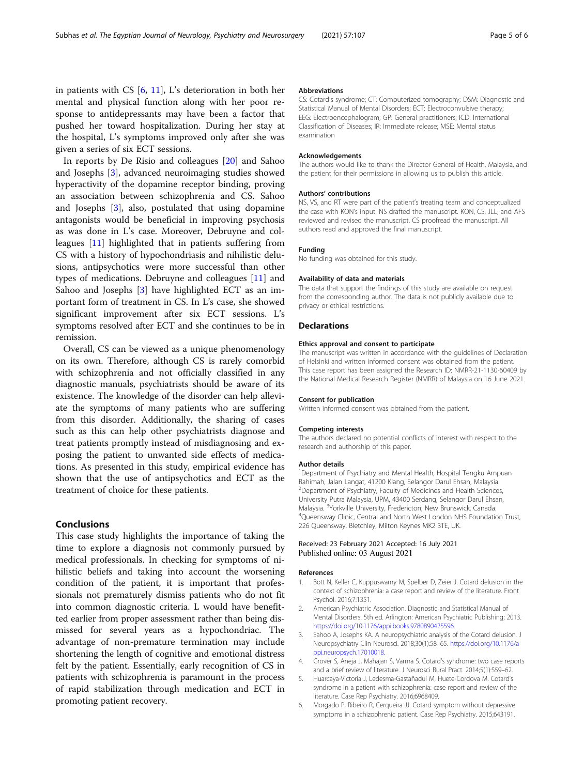<span id="page-4-0"></span>in patients with CS [6, [11\]](#page-5-0), L's deterioration in both her mental and physical function along with her poor response to antidepressants may have been a factor that pushed her toward hospitalization. During her stay at the hospital, L's symptoms improved only after she was given a series of six ECT sessions.

In reports by De Risio and colleagues [[20\]](#page-5-0) and Sahoo and Josephs [3], advanced neuroimaging studies showed hyperactivity of the dopamine receptor binding, proving an association between schizophrenia and CS. Sahoo and Josephs [3], also, postulated that using dopamine antagonists would be beneficial in improving psychosis as was done in L's case. Moreover, Debruyne and colleagues [[11\]](#page-5-0) highlighted that in patients suffering from CS with a history of hypochondriasis and nihilistic delusions, antipsychotics were more successful than other types of medications. Debruyne and colleagues [[11\]](#page-5-0) and Sahoo and Josephs [3] have highlighted ECT as an important form of treatment in CS. In L's case, she showed significant improvement after six ECT sessions. L's symptoms resolved after ECT and she continues to be in remission.

Overall, CS can be viewed as a unique phenomenology on its own. Therefore, although CS is rarely comorbid with schizophrenia and not officially classified in any diagnostic manuals, psychiatrists should be aware of its existence. The knowledge of the disorder can help alleviate the symptoms of many patients who are suffering from this disorder. Additionally, the sharing of cases such as this can help other psychiatrists diagnose and treat patients promptly instead of misdiagnosing and exposing the patient to unwanted side effects of medications. As presented in this study, empirical evidence has shown that the use of antipsychotics and ECT as the treatment of choice for these patients.

## Conclusions

This case study highlights the importance of taking the time to explore a diagnosis not commonly pursued by medical professionals. In checking for symptoms of nihilistic beliefs and taking into account the worsening condition of the patient, it is important that professionals not prematurely dismiss patients who do not fit into common diagnostic criteria. L would have benefitted earlier from proper assessment rather than being dismissed for several years as a hypochondriac. The advantage of non-premature termination may include shortening the length of cognitive and emotional distress felt by the patient. Essentially, early recognition of CS in patients with schizophrenia is paramount in the process of rapid stabilization through medication and ECT in promoting patient recovery.

#### Abbreviations

CS: Cotard's syndrome; CT: Computerized tomography; DSM: Diagnostic and Statistical Manual of Mental Disorders; ECT: Electroconvulsive therapy; EEG: Electroencephalogram; GP: General practitioners; ICD: International Classification of Diseases; IR: Immediate release; MSE: Mental status examination

#### Acknowledgements

The authors would like to thank the Director General of Health, Malaysia, and the patient for their permissions in allowing us to publish this article.

#### Authors' contributions

NS, VS, and RT were part of the patient's treating team and conceptualized the case with KON's input. NS drafted the manuscript. KON, CS, JLL, and AFS reviewed and revised the manuscript. CS proofread the manuscript. All authors read and approved the final manuscript.

#### Funding

No funding was obtained for this study.

#### Availability of data and materials

The data that support the findings of this study are available on request from the corresponding author. The data is not publicly available due to privacy or ethical restrictions.

#### **Declarations**

#### Ethics approval and consent to participate

The manuscript was written in accordance with the guidelines of Declaration of Helsinki and written informed consent was obtained from the patient. This case report has been assigned the Research ID: NMRR-21-1130-60409 by the National Medical Research Register (NMRR) of Malaysia on 16 June 2021.

#### Consent for publication

Written informed consent was obtained from the patient.

#### Competing interests

The authors declared no potential conflicts of interest with respect to the research and authorship of this paper.

#### Author details

<sup>1</sup>Department of Psychiatry and Mental Health, Hospital Tengku Ampuan Rahimah, Jalan Langat, 41200 Klang, Selangor Darul Ehsan, Malaysia. 2 Department of Psychiatry, Faculty of Medicines and Health Sciences, University Putra Malaysia, UPM, 43400 Serdang, Selangor Darul Ehsan, Malaysia.<sup>3</sup> Yorkville University, Fredericton, New Brunswick, Canada.<br><sup>4</sup> Quons way Clinis, Contral and North Wort London NHS Foundati Queensway Clinic, Central and North West London NHS Foundation Trust, 226 Queensway, Bletchley, Milton Keynes MK2 3TE, UK.

#### Received: 23 February 2021 Accepted: 16 July 2021 Published online: 03 August 2021

#### References

- 1. Bott N, Keller C, Kuppuswamy M, Spelber D, Zeier J. Cotard delusion in the context of schizophrenia: a case report and review of the literature. Front Psychol. 2016;7:1351.
- 2. American Psychiatric Association. Diagnostic and Statistical Manual of Mental Disorders. 5th ed. Arlington: American Psychiatric Publishing; 2013. <https://doi.org/10.1176/appi.books.9780890425596>.
- Sahoo A, Josephs KA. A neuropsychiatric analysis of the Cotard delusion. J Neuropsychiatry Clin Neurosci. 2018;30(1):58–65. [https://doi.org/10.1176/a](https://doi.org/10.1176/appi.neuropsych.17010018) [ppi.neuropsych.17010018.](https://doi.org/10.1176/appi.neuropsych.17010018)
- 4. Grover S, Aneja J, Mahajan S, Varma S. Cotard's syndrome: two case reports and a brief review of literature. J Neurosci Rural Pract. 2014;5(1):S59–62.
- 5. Huarcaya-Victoria J, Ledesma-Gastañadui M, Huete-Cordova M. Cotard's syndrome in a patient with schizophrenia: case report and review of the literature. Case Rep Psychiatry. 2016;6968409.
- 6. Morgado P, Ribeiro R, Cerqueira JJ. Cotard symptom without depressive symptoms in a schizophrenic patient. Case Rep Psychiatry. 2015;643191.